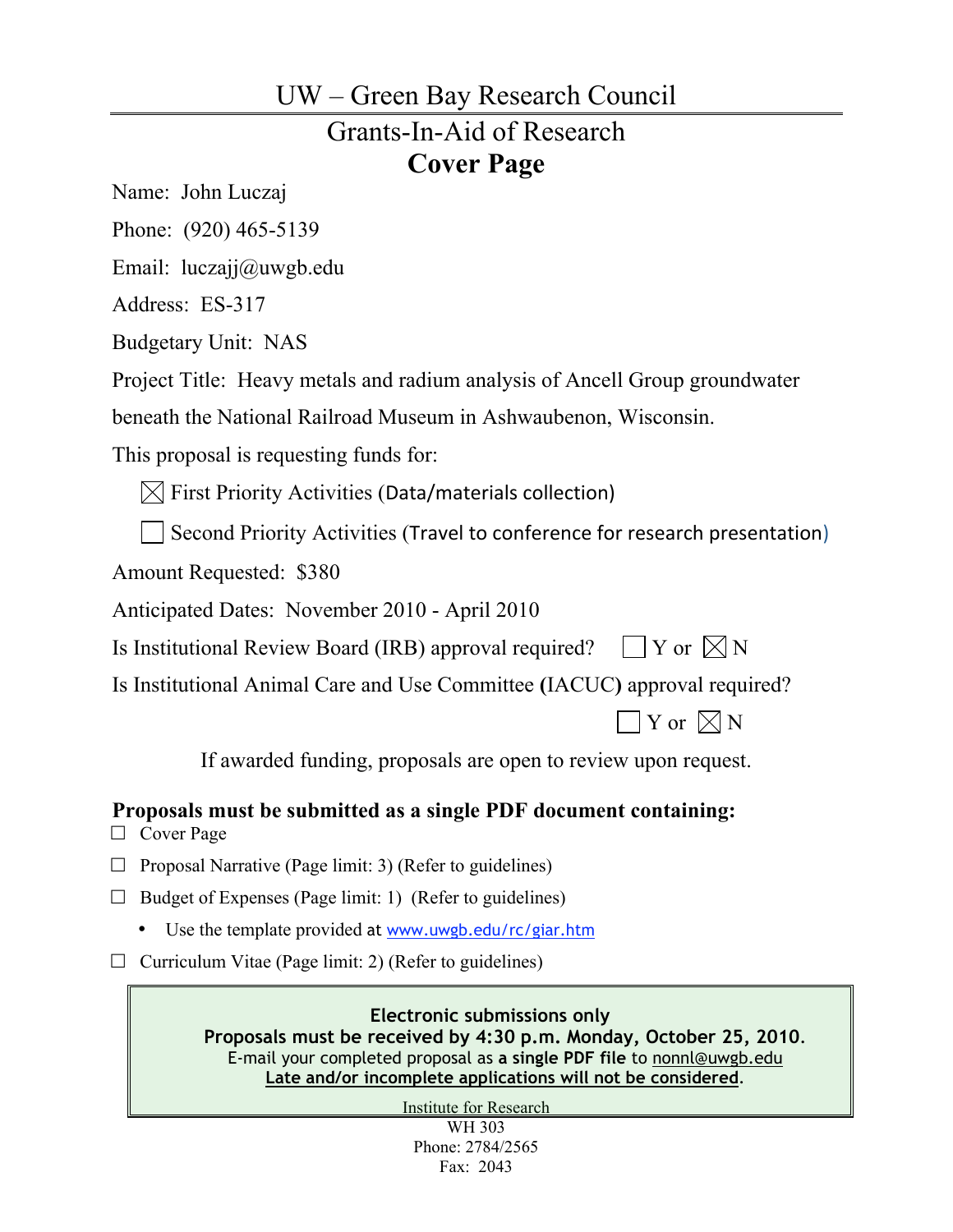# UW – Green Bay Research Council Grants-In-Aid of Research **Cover Page**

Name: John Luczaj

Phone: (920) 465-5139

Email: luczajj@uwgb.edu

Address: ES-317

Budgetary Unit: NAS

Project Title: Heavy metals and radium analysis of Ancell Group groundwater

beneath the National Railroad Museum in Ashwaubenon, Wisconsin.

This proposal is requesting funds for:

 $[\times]$  First Priority Activities (Data/materials collection)

Second Priority Activities (Travel to conference for research presentation)

Amount Requested: \$380

Anticipated Dates: November 2010 - April 2010

Is Institutional Review Board (IRB) approval required?  $\Box Y$  or  $\Box N$ 

Is Institutional Animal Care and Use Committee **(**IACUC**)** approval required?

 $\exists$  Y or  $\not\boxtimes$  N

If awarded funding, proposals are open to review upon request.

**Proposals must be submitted as a single PDF document containing:**

□ Cover Page

 $\Box$  Proposal Narrative (Page limit: 3) (Refer to guidelines)

 $\Box$  Budget of Expenses (Page limit: 1) (Refer to guidelines)

• Use the template provided at www.uwgb.edu/rc/giar.htm

 $\Box$  Curriculum Vitae (Page limit: 2) (Refer to guidelines)

**Electronic submissions only Proposals must be received by 4:30 p.m. Monday, October 25, 2010**. E-mail your completed proposal as **a single PDF file** to nonnl@uwgb.edu **Late and/or incomplete applications will not be considered**.

Institute for Research

WH 303 Phone: 2784/2565 Fax: 2043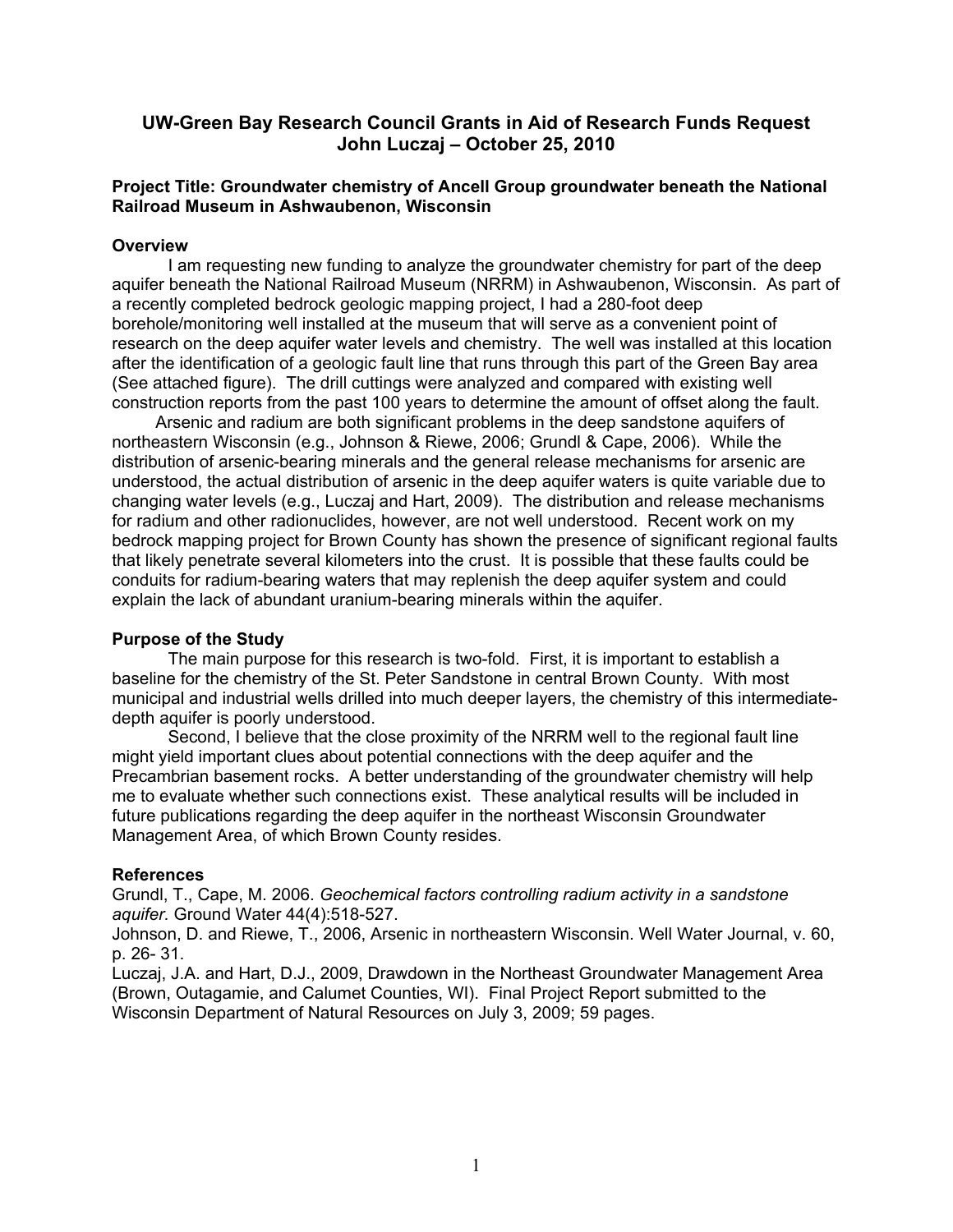## **UW-Green Bay Research Council Grants in Aid of Research Funds Request John Luczaj – October 25, 2010**

### **Project Title: Groundwater chemistry of Ancell Group groundwater beneath the National Railroad Museum in Ashwaubenon, Wisconsin**

#### **Overview**

I am requesting new funding to analyze the groundwater chemistry for part of the deep aquifer beneath the National Railroad Museum (NRRM) in Ashwaubenon, Wisconsin. As part of a recently completed bedrock geologic mapping project, I had a 280-foot deep borehole/monitoring well installed at the museum that will serve as a convenient point of research on the deep aquifer water levels and chemistry. The well was installed at this location after the identification of a geologic fault line that runs through this part of the Green Bay area (See attached figure). The drill cuttings were analyzed and compared with existing well construction reports from the past 100 years to determine the amount of offset along the fault.

Arsenic and radium are both significant problems in the deep sandstone aquifers of northeastern Wisconsin (e.g., Johnson & Riewe, 2006; Grundl & Cape, 2006). While the distribution of arsenic-bearing minerals and the general release mechanisms for arsenic are understood, the actual distribution of arsenic in the deep aquifer waters is quite variable due to changing water levels (e.g., Luczaj and Hart, 2009). The distribution and release mechanisms for radium and other radionuclides, however, are not well understood. Recent work on my bedrock mapping project for Brown County has shown the presence of significant regional faults that likely penetrate several kilometers into the crust. It is possible that these faults could be conduits for radium-bearing waters that may replenish the deep aquifer system and could explain the lack of abundant uranium-bearing minerals within the aquifer.

#### **Purpose of the Study**

The main purpose for this research is two-fold. First, it is important to establish a baseline for the chemistry of the St. Peter Sandstone in central Brown County. With most municipal and industrial wells drilled into much deeper layers, the chemistry of this intermediatedepth aquifer is poorly understood.

Second, I believe that the close proximity of the NRRM well to the regional fault line might yield important clues about potential connections with the deep aquifer and the Precambrian basement rocks. A better understanding of the groundwater chemistry will help me to evaluate whether such connections exist. These analytical results will be included in future publications regarding the deep aquifer in the northeast Wisconsin Groundwater Management Area, of which Brown County resides.

#### **References**

Grundl, T., Cape, M. 2006. *Geochemical factors controlling radium activity in a sandstone aquifer.* Ground Water 44(4):518-527.

Johnson, D. and Riewe, T., 2006, Arsenic in northeastern Wisconsin. Well Water Journal, v. 60, p. 26- 31.

Luczaj, J.A. and Hart, D.J., 2009, Drawdown in the Northeast Groundwater Management Area (Brown, Outagamie, and Calumet Counties, WI). Final Project Report submitted to the Wisconsin Department of Natural Resources on July 3, 2009; 59 pages.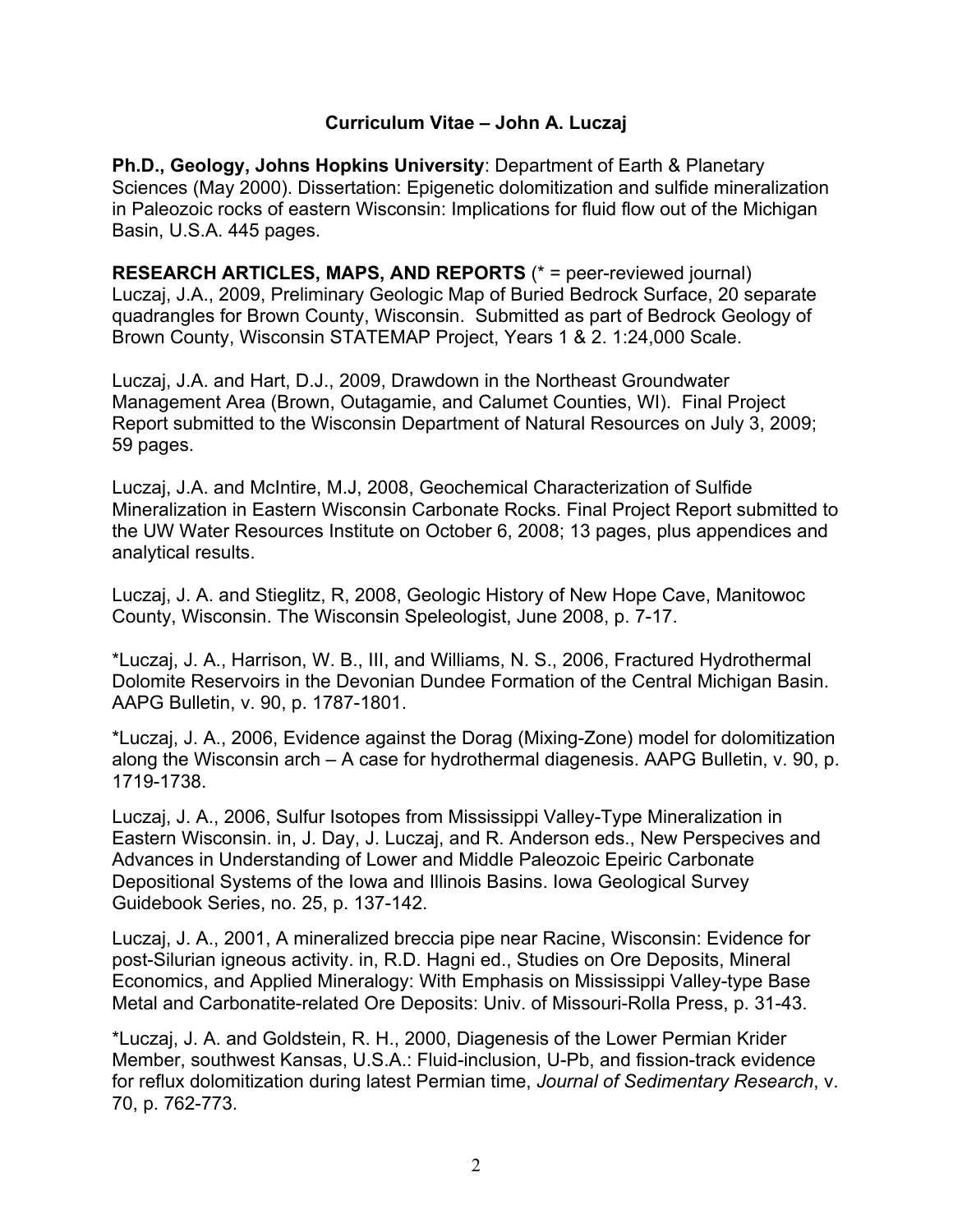## **Curriculum Vitae – John A. Luczaj**

**Ph.D., Geology, Johns Hopkins University**: Department of Earth & Planetary Sciences (May 2000). Dissertation: Epigenetic dolomitization and sulfide mineralization in Paleozoic rocks of eastern Wisconsin: Implications for fluid flow out of the Michigan Basin, U.S.A. 445 pages.

**RESEARCH ARTICLES, MAPS, AND REPORTS** (\* = peer-reviewed journal) Luczaj, J.A., 2009, Preliminary Geologic Map of Buried Bedrock Surface, 20 separate quadrangles for Brown County, Wisconsin. Submitted as part of Bedrock Geology of Brown County, Wisconsin STATEMAP Project, Years 1 & 2. 1:24,000 Scale.

Luczaj, J.A. and Hart, D.J., 2009, Drawdown in the Northeast Groundwater Management Area (Brown, Outagamie, and Calumet Counties, WI). Final Project Report submitted to the Wisconsin Department of Natural Resources on July 3, 2009; 59 pages.

Luczaj, J.A. and McIntire, M.J, 2008, Geochemical Characterization of Sulfide Mineralization in Eastern Wisconsin Carbonate Rocks. Final Project Report submitted to the UW Water Resources Institute on October 6, 2008; 13 pages, plus appendices and analytical results.

Luczaj, J. A. and Stieglitz, R, 2008, Geologic History of New Hope Cave, Manitowoc County, Wisconsin. The Wisconsin Speleologist, June 2008, p. 7-17.

\*Luczaj, J. A., Harrison, W. B., III, and Williams, N. S., 2006, Fractured Hydrothermal Dolomite Reservoirs in the Devonian Dundee Formation of the Central Michigan Basin. AAPG Bulletin, v. 90, p. 1787-1801.

\*Luczaj, J. A., 2006, Evidence against the Dorag (Mixing-Zone) model for dolomitization along the Wisconsin arch – A case for hydrothermal diagenesis. AAPG Bulletin, v. 90, p. 1719-1738.

Luczaj, J. A., 2006, Sulfur Isotopes from Mississippi Valley-Type Mineralization in Eastern Wisconsin. in, J. Day, J. Luczaj, and R. Anderson eds., New Perspecives and Advances in Understanding of Lower and Middle Paleozoic Epeiric Carbonate Depositional Systems of the Iowa and Illinois Basins. Iowa Geological Survey Guidebook Series, no. 25, p. 137-142.

Luczaj, J. A., 2001, A mineralized breccia pipe near Racine, Wisconsin: Evidence for post-Silurian igneous activity. in, R.D. Hagni ed., Studies on Ore Deposits, Mineral Economics, and Applied Mineralogy: With Emphasis on Mississippi Valley-type Base Metal and Carbonatite-related Ore Deposits: Univ. of Missouri-Rolla Press, p. 31-43.

\*Luczaj, J. A. and Goldstein, R. H., 2000, Diagenesis of the Lower Permian Krider Member, southwest Kansas, U.S.A.: Fluid-inclusion, U-Pb, and fission-track evidence for reflux dolomitization during latest Permian time, *Journal of Sedimentary Research*, v. 70, p. 762-773.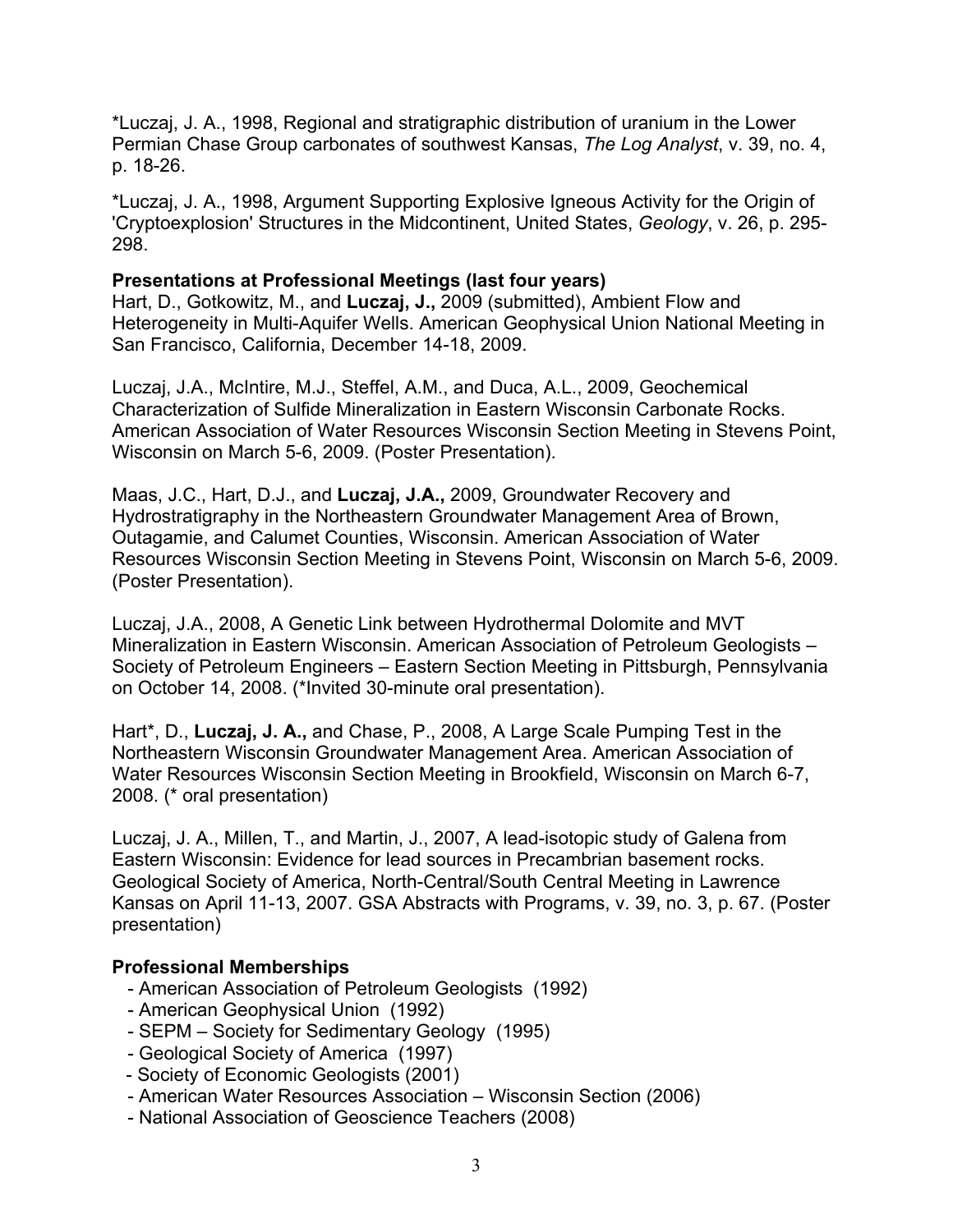\*Luczaj, J. A., 1998, Regional and stratigraphic distribution of uranium in the Lower Permian Chase Group carbonates of southwest Kansas, *The Log Analyst*, v. 39, no. 4, p. 18-26.

\*Luczaj, J. A., 1998, Argument Supporting Explosive Igneous Activity for the Origin of 'Cryptoexplosion' Structures in the Midcontinent, United States, *Geology*, v. 26, p. 295- 298.

## **Presentations at Professional Meetings (last four years)**

Hart, D., Gotkowitz, M., and **Luczaj, J.,** 2009 (submitted), Ambient Flow and Heterogeneity in Multi-Aquifer Wells. American Geophysical Union National Meeting in San Francisco, California, December 14-18, 2009.

Luczaj, J.A., McIntire, M.J., Steffel, A.M., and Duca, A.L., 2009, Geochemical Characterization of Sulfide Mineralization in Eastern Wisconsin Carbonate Rocks. American Association of Water Resources Wisconsin Section Meeting in Stevens Point, Wisconsin on March 5-6, 2009. (Poster Presentation).

Maas, J.C., Hart, D.J., and **Luczaj, J.A.,** 2009, Groundwater Recovery and Hydrostratigraphy in the Northeastern Groundwater Management Area of Brown, Outagamie, and Calumet Counties, Wisconsin. American Association of Water Resources Wisconsin Section Meeting in Stevens Point, Wisconsin on March 5-6, 2009. (Poster Presentation).

Luczaj, J.A., 2008, A Genetic Link between Hydrothermal Dolomite and MVT Mineralization in Eastern Wisconsin. American Association of Petroleum Geologists – Society of Petroleum Engineers – Eastern Section Meeting in Pittsburgh, Pennsylvania on October 14, 2008. (\*Invited 30-minute oral presentation).

Hart\*, D., **Luczaj, J. A.,** and Chase, P., 2008, A Large Scale Pumping Test in the Northeastern Wisconsin Groundwater Management Area. American Association of Water Resources Wisconsin Section Meeting in Brookfield, Wisconsin on March 6-7, 2008. (\* oral presentation)

Luczaj, J. A., Millen, T., and Martin, J., 2007, A lead-isotopic study of Galena from Eastern Wisconsin: Evidence for lead sources in Precambrian basement rocks. Geological Society of America, North-Central/South Central Meeting in Lawrence Kansas on April 11-13, 2007. GSA Abstracts with Programs, v. 39, no. 3, p. 67. (Poster presentation)

## **Professional Memberships**

- American Association of Petroleum Geologists (1992)
- American Geophysical Union (1992)
- SEPM Society for Sedimentary Geology (1995)
- Geological Society of America (1997)
- Society of Economic Geologists (2001)
- American Water Resources Association Wisconsin Section (2006)
- National Association of Geoscience Teachers (2008)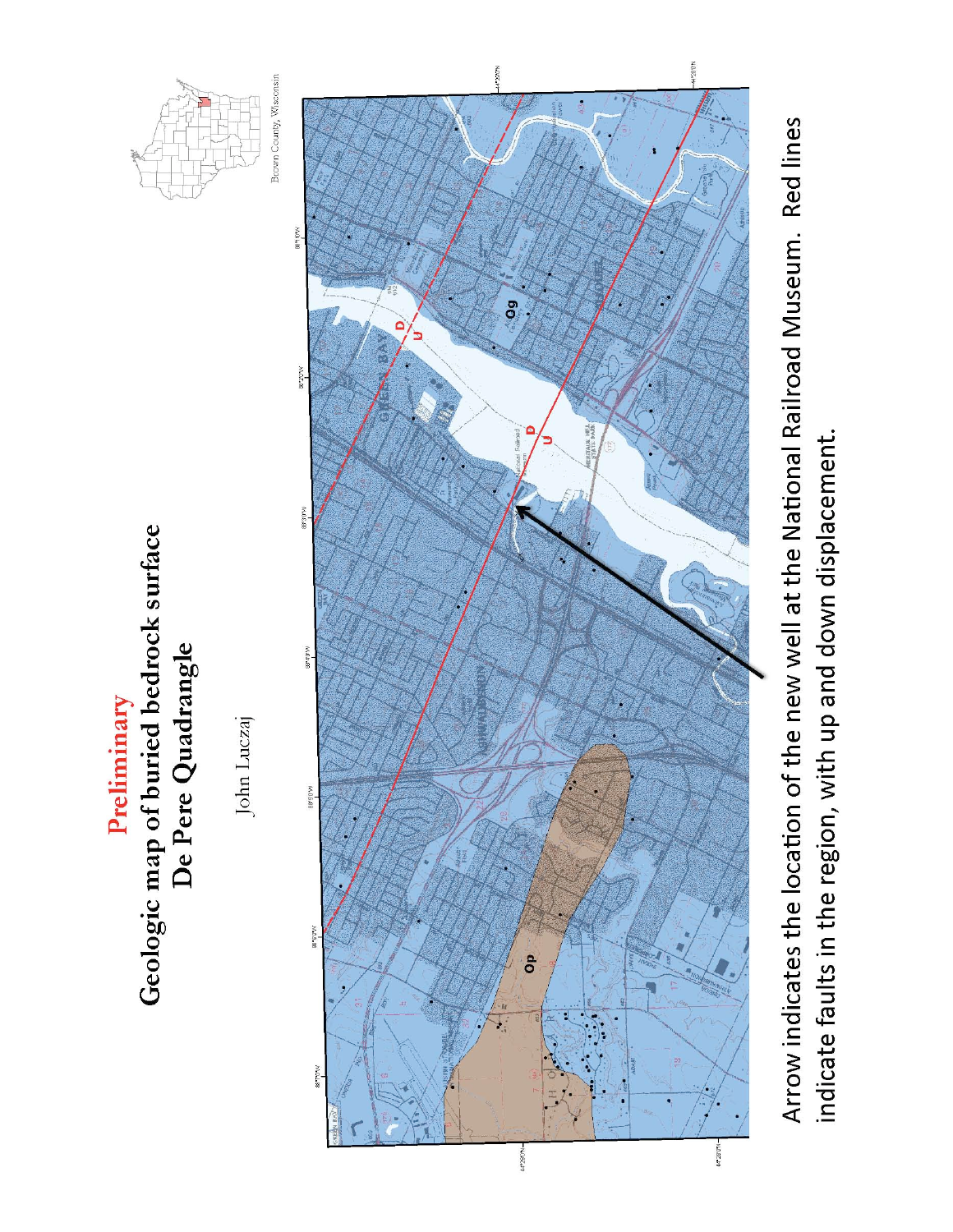





Arrow indicates the location of the new well at the National Railroad Museum. Red lines indicate faults in the region, with up and down displacement.